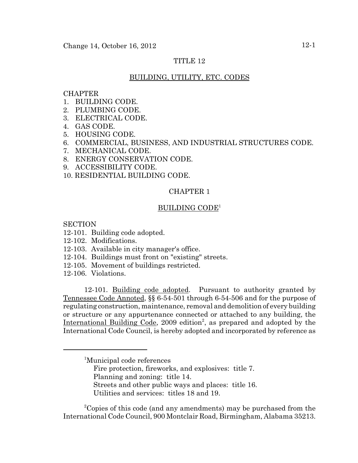# TITLE 12

## BUILDING, UTILITY, ETC. CODES

## **CHAPTER**

- 1. BUILDING CODE.
- 2. PLUMBING CODE.
- 3. ELECTRICAL CODE.
- 4. GAS CODE.
- 5. HOUSING CODE.
- 6. COMMERCIAL, BUSINESS, AND INDUSTRIAL STRUCTURES CODE.
- 7. MECHANICAL CODE.
- 8. ENERGY CONSERVATION CODE.
- 9. ACCESSIBILITY CODE.
- 10. RESIDENTIAL BUILDING CODE.

## CHAPTER 1

## BUILDING CODE1

**SECTION** 

- 12-101. Building code adopted.
- 12-102. Modifications.
- 12-103. Available in city manager's office.
- 12-104. Buildings must front on "existing" streets.
- 12-105. Movement of buildings restricted.
- 12-106. Violations.

12-101. Building code adopted. Pursuant to authority granted by Tennessee Code Annoted, §§ 6-54-501 through 6-54-506 and for the purpose of regulating construction, maintenance, removal and demolition of every building or structure or any appurtenance connected or attached to any building, the International Building Code, 2009 edition<sup>2</sup>, as prepared and adopted by the International Code Council, is hereby adopted and incorporated by reference as

- Fire protection, fireworks, and explosives: title 7.
- Planning and zoning: title 14.

Utilities and services: titles 18 and 19.

<sup>2</sup>Copies of this code (and any amendments) may be purchased from the International Code Council, 900 Montclair Road, Birmingham, Alabama 35213.

<sup>1</sup> Municipal code references

Streets and other public ways and places: title 16.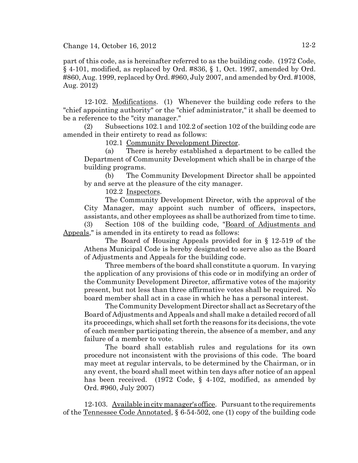part of this code, as is hereinafter referred to as the building code. (1972 Code, § 4-101, modified, as replaced by Ord. #836, § 1, Oct. 1997, amended by Ord. #860, Aug. 1999, replaced by Ord. #960, July 2007, and amended by Ord. #1008, Aug. 2012)

12-102. Modifications. (1) Whenever the building code refers to the "chief appointing authority" or the "chief administrator," it shall be deemed to be a reference to the "city manager."

(2) Subsections 102.1 and 102.2 of section 102 of the building code are amended in their entirety to read as follows:

102.1 Community Development Director.

(a) There is hereby established a department to be called the Department of Community Development which shall be in charge of the building programs.

(b) The Community Development Director shall be appointed by and serve at the pleasure of the city manager.

102.2 Inspectors.

The Community Development Director, with the approval of the City Manager, may appoint such number of officers, inspectors, assistants, and other employees as shall be authorized from time to time.

(3) Section 108 of the building code, "Board of Adjustments and Appeals," is amended in its entirety to read as follows:

The Board of Housing Appeals provided for in § 12-519 of the Athens Municipal Code is hereby designated to serve also as the Board of Adjustments and Appeals for the building code.

Three members of the board shall constitute a quorum. In varying the application of any provisions of this code or in modifying an order of the Community Development Director, affirmative votes of the majority present, but not less than three affirmative votes shall be required. No board member shall act in a case in which he has a personal interest.

The Community Development Director shall act as Secretary of the Board of Adjustments and Appeals and shall make a detailed record of all its proceedings, which shall set forth the reasons for its decisions, the vote of each member participating therein, the absence of a member, and any failure of a member to vote.

The board shall establish rules and regulations for its own procedure not inconsistent with the provisions of this code. The board may meet at regular intervals, to be determined by the Chairman, or in any event, the board shall meet within ten days after notice of an appeal has been received. (1972 Code, § 4-102, modified, as amended by Ord. #960, July 2007)

12-103. Available in city manager's office. Pursuant to the requirements of the Tennessee Code Annotated, § 6-54-502, one (1) copy of the building code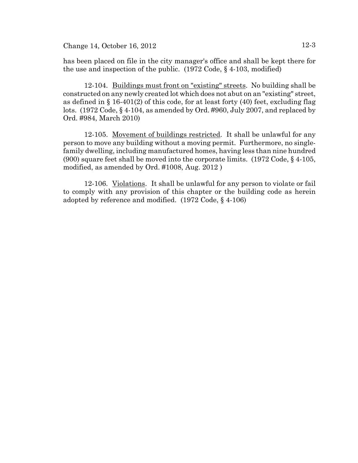Change 14, October 16, 2012 12-3

has been placed on file in the city manager's office and shall be kept there for the use and inspection of the public. (1972 Code, § 4-103, modified)

12-104. Buildings must front on "existing" streets. No building shall be constructed on any newly created lot which does not abut on an "existing" street, as defined in § 16-401(2) of this code, for at least forty (40) feet, excluding flag lots. (1972 Code, § 4-104, as amended by Ord. #960, July 2007, and replaced by Ord. #984, March 2010)

12-105. Movement of buildings restricted. It shall be unlawful for any person to move any building without a moving permit. Furthermore, no singlefamily dwelling, including manufactured homes, having less than nine hundred (900) square feet shall be moved into the corporate limits. (1972 Code, § 4-105, modified, as amended by Ord. #1008, Aug. 2012 )

12-106. Violations. It shall be unlawful for any person to violate or fail to comply with any provision of this chapter or the building code as herein adopted by reference and modified. (1972 Code, § 4-106)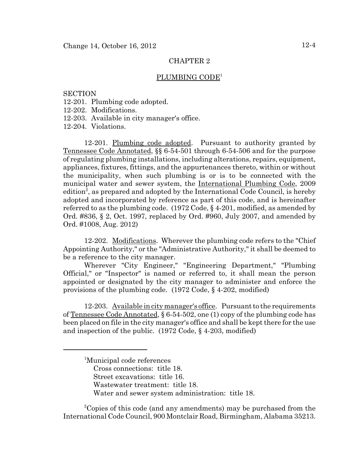### PLUMBING CODE<sup>1</sup>

## **SECTION**

- 12-201. Plumbing code adopted.
- 12-202. Modifications.
- 12-203. Available in city manager's office.

12-204. Violations.

12-201. Plumbing code adopted. Pursuant to authority granted by Tennessee Code Annotated, §§ 6-54-501 through 6-54-506 and for the purpose of regulating plumbing installations, including alterations, repairs, equipment, appliances, fixtures, fittings, and the appurtenances thereto, within or without the municipality, when such plumbing is or is to be connected with the municipal water and sewer system, the International Plumbing Code, 2009 edition<sup>2</sup>, as prepared and adopted by the International Code Council, is hereby adopted and incorporated by reference as part of this code, and is hereinafter referred to as the plumbing code. (1972 Code, § 4-201, modified, as amended by Ord. #836, § 2, Oct. 1997, replaced by Ord. #960, July 2007, and amended by Ord. #1008, Aug. 2012)

12-202. Modifications. Wherever the plumbing code refers to the "Chief Appointing Authority," or the "Administrative Authority," it shall be deemed to be a reference to the city manager.

Wherever "City Engineer," "Engineering Department," "Plumbing Official," or "Inspector" is named or referred to, it shall mean the person appointed or designated by the city manager to administer and enforce the provisions of the plumbing code. (1972 Code, § 4-202, modified)

12-203. Available in city manager's office. Pursuant to the requirements of Tennessee Code Annotated, § 6-54-502, one (1) copy of the plumbing code has been placed on file in the city manager's office and shall be kept there for the use and inspection of the public. (1972 Code, § 4-203, modified)

<sup>2</sup>Copies of this code (and any amendments) may be purchased from the International Code Council, 900 Montclair Road, Birmingham, Alabama 35213.

<sup>1</sup> Municipal code references Cross connections: title 18. Street excavations: title 16. Wastewater treatment: title 18. Water and sewer system administration: title 18.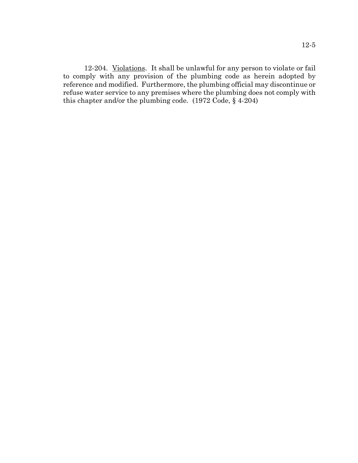12-204. Violations. It shall be unlawful for any person to violate or fail to comply with any provision of the plumbing code as herein adopted by reference and modified. Furthermore, the plumbing official may discontinue or refuse water service to any premises where the plumbing does not comply with this chapter and/or the plumbing code. (1972 Code, § 4-204)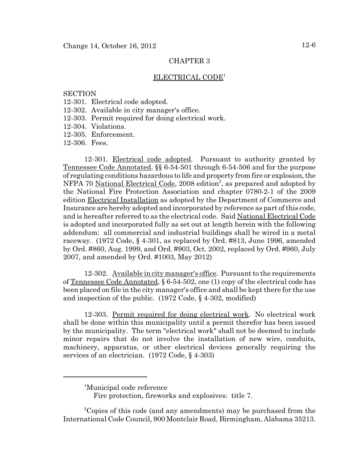### ELECTRICAL CODE1

#### **SECTION**

- 12-301. Electrical code adopted.
- 12-302. Available in city manager's office.
- 12-303. Permit required for doing electrical work.
- 12-304. Violations.
- 12-305. Enforcement.

12-306. Fees.

12-301. Electrical code adopted. Pursuant to authority granted by Tennessee Code Annotated, §§ 6-54-501 through 6-54-506 and for the purpose of regulating conditions hazardous to life and property from fire or explosion, the NFPA 70 National Electrical Code, 2008 edition<sup>2</sup>, as prepared and adopted by the National Fire Protection Association and chapter 0780-2-1 of the 2009 edition Electrical Installation as adopted by the Department of Commerce and Insurance are hereby adopted and incorporated by reference as part of this code, and is hereafter referred to as the electrical code. Said National Electrical Code is adopted and incorporated fully as set out at length herein with the following addendum: all commercial and industrial buildings shall be wired in a metal raceway. (1972 Code, § 4-301, as replaced by Ord. #813, June 1996, amended by Ord. #860, Aug. 1999, and Ord. #903, Oct. 2002, replaced by Ord. #960, July 2007, and amended by Ord. #1003, May 2012)

12-302. Available in city manager's office. Pursuant to the requirements of Tennessee Code Annotated, § 6-54-502, one (1) copy of the electrical code has been placed on file in the city manager's office and shall be kept there for the use and inspection of the public. (1972 Code, § 4-302, modified)

12-303. Permit required for doing electrical work. No electrical work shall be done within this municipality until a permit therefor has been issued by the municipality. The term "electrical work" shall not be deemed to include minor repairs that do not involve the installation of new wire, conduits, machinery, apparatus, or other electrical devices generally requiring the services of an electrician. (1972 Code, § 4-303)

<sup>&</sup>lt;sup>1</sup>Municipal code reference

Fire protection, fireworks and explosives: title 7.

<sup>&</sup>lt;sup>2</sup>Copies of this code (and any amendments) may be purchased from the International Code Council, 900 Montclair Road, Birmingham, Alabama 35213.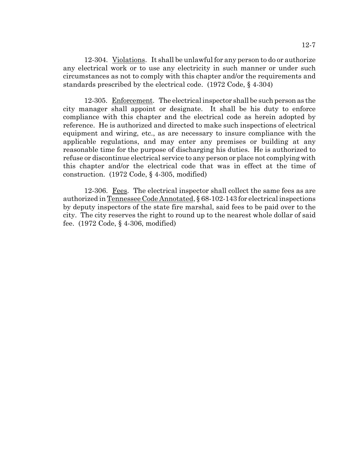12-304. Violations. It shall be unlawful for any person to do or authorize any electrical work or to use any electricity in such manner or under such circumstances as not to comply with this chapter and/or the requirements and standards prescribed by the electrical code. (1972 Code, § 4-304)

12-305. Enforcement. The electrical inspector shall be such person as the city manager shall appoint or designate. It shall be his duty to enforce compliance with this chapter and the electrical code as herein adopted by reference. He is authorized and directed to make such inspections of electrical equipment and wiring, etc., as are necessary to insure compliance with the applicable regulations, and may enter any premises or building at any reasonable time for the purpose of discharging his duties. He is authorized to refuse or discontinue electrical service to any person or place not complying with this chapter and/or the electrical code that was in effect at the time of construction. (1972 Code, § 4-305, modified)

12-306. Fees. The electrical inspector shall collect the same fees as are authorized in Tennessee Code Annotated, § 68-102-143 for electrical inspections by deputy inspectors of the state fire marshal, said fees to be paid over to the city. The city reserves the right to round up to the nearest whole dollar of said fee. (1972 Code, § 4-306, modified)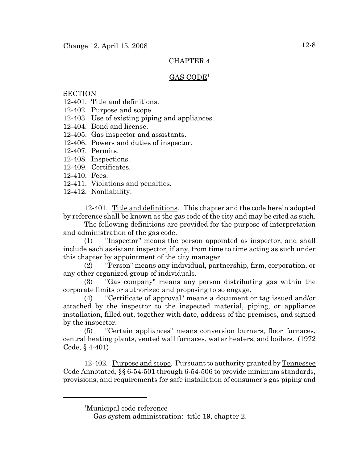# $GAS CODE<sup>1</sup>$

# **SECTION**

- 12-401. Title and definitions.
- 12-402. Purpose and scope.
- 12-403. Use of existing piping and appliances.
- 12-404. Bond and license.
- 12-405. Gas inspector and assistants.
- 12-406. Powers and duties of inspector.
- 12-407. Permits.
- 12-408. Inspections.
- 12-409. Certificates.
- 12-410. Fees.
- 12-411. Violations and penalties.
- 12-412. Nonliability.

12-401. Title and definitions. This chapter and the code herein adopted by reference shall be known as the gas code of the city and may be cited as such.

The following definitions are provided for the purpose of interpretation and administration of the gas code.

(1) "Inspector" means the person appointed as inspector, and shall include each assistant inspector, if any, from time to time acting as such under this chapter by appointment of the city manager.

(2) "Person" means any individual, partnership, firm, corporation, or any other organized group of individuals.

(3) "Gas company" means any person distributing gas within the corporate limits or authorized and proposing to so engage.

(4) "Certificate of approval" means a document or tag issued and/or attached by the inspector to the inspected material, piping, or appliance installation, filled out, together with date, address of the premises, and signed by the inspector.

(5) "Certain appliances" means conversion burners, floor furnaces, central heating plants, vented wall furnaces, water heaters, and boilers. (1972 Code, § 4-401)

12-402. Purpose and scope. Pursuant to authority granted by Tennessee Code Annotated, §§ 6-54-501 through 6-54-506 to provide minimum standards, provisions, and requirements for safe installation of consumer's gas piping and

<sup>1</sup> Municipal code reference

Gas system administration: title 19, chapter 2.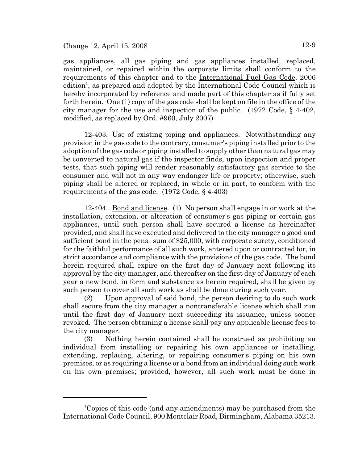Change 12, April 15, 2008  $12-9$ 

gas appliances, all gas piping and gas appliances installed, replaced, maintained, or repaired within the corporate limits shall conform to the requirements of this chapter and to the International Fuel Gas Code, 2006 edition<sup>1</sup>, as prepared and adopted by the International Code Council which is hereby incorporated by reference and made part of this chapter as if fully set forth herein. One (1) copy of the gas code shall be kept on file in the office of the city manager for the use and inspection of the public.  $(1972 \text{ Code}, \xi 4-402)$ , modified, as replaced by Ord. #960, July 2007)

12-403. Use of existing piping and appliances. Notwithstanding any provision in the gas code to the contrary, consumer's piping installed prior to the adoption of the gas code or piping installed to supply other than natural gas may be converted to natural gas if the inspector finds, upon inspection and proper tests, that such piping will render reasonably satisfactory gas service to the consumer and will not in any way endanger life or property; otherwise, such piping shall be altered or replaced, in whole or in part, to conform with the requirements of the gas code. (1972 Code, § 4-403)

12-404. Bond and license. (1) No person shall engage in or work at the installation, extension, or alteration of consumer's gas piping or certain gas appliances, until such person shall have secured a license as hereinafter provided, and shall have executed and delivered to the city manager a good and sufficient bond in the penal sum of \$25,000, with corporate surety, conditioned for the faithful performance of all such work, entered upon or contracted for, in strict accordance and compliance with the provisions of the gas code. The bond herein required shall expire on the first day of January next following its approval by the city manager, and thereafter on the first day of January of each year a new bond, in form and substance as herein required, shall be given by such person to cover all such work as shall be done during such year.

(2) Upon approval of said bond, the person desiring to do such work shall secure from the city manager a nontransferable license which shall run until the first day of January next succeeding its issuance, unless sooner revoked. The person obtaining a license shall pay any applicable license fees to the city manager.

(3) Nothing herein contained shall be construed as prohibiting an individual from installing or repairing his own appliances or installing, extending, replacing, altering, or repairing consumer's piping on his own premises, or as requiring a license or a bond from an individual doing such work on his own premises; provided, however, all such work must be done in

<sup>&</sup>lt;sup>1</sup>Copies of this code (and any amendments) may be purchased from the International Code Council, 900 Montclair Road, Birmingham, Alabama 35213.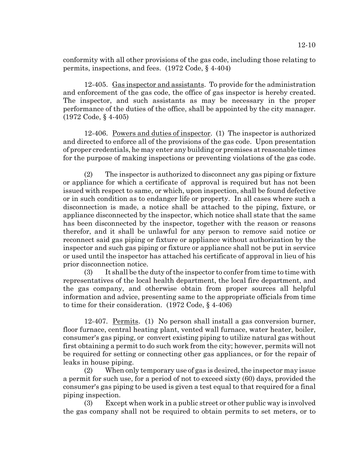conformity with all other provisions of the gas code, including those relating to permits, inspections, and fees. (1972 Code, § 4-404)

12-405. Gas inspector and assistants. To provide for the administration and enforcement of the gas code, the office of gas inspector is hereby created. The inspector, and such assistants as may be necessary in the proper performance of the duties of the office, shall be appointed by the city manager. (1972 Code, § 4-405)

12-406. Powers and duties of inspector. (1) The inspector is authorized and directed to enforce all of the provisions of the gas code. Upon presentation of proper credentials, he may enter any building or premises at reasonable times for the purpose of making inspections or preventing violations of the gas code.

(2) The inspector is authorized to disconnect any gas piping or fixture or appliance for which a certificate of approval is required but has not been issued with respect to same, or which, upon inspection, shall be found defective or in such condition as to endanger life or property. In all cases where such a disconnection is made, a notice shall be attached to the piping, fixture, or appliance disconnected by the inspector, which notice shall state that the same has been disconnected by the inspector, together with the reason or reasons therefor, and it shall be unlawful for any person to remove said notice or reconnect said gas piping or fixture or appliance without authorization by the inspector and such gas piping or fixture or appliance shall not be put in service or used until the inspector has attached his certificate of approval in lieu of his prior disconnection notice.

(3) It shall be the duty of the inspector to confer from time to time with representatives of the local health department, the local fire department, and the gas company, and otherwise obtain from proper sources all helpful information and advice, presenting same to the appropriate officials from time to time for their consideration. (1972 Code, § 4-406)

12-407. Permits. (1) No person shall install a gas conversion burner, floor furnace, central heating plant, vented wall furnace, water heater, boiler, consumer's gas piping, or convert existing piping to utilize natural gas without first obtaining a permit to do such work from the city; however, permits will not be required for setting or connecting other gas appliances, or for the repair of leaks in house piping.

(2) When only temporary use of gas is desired, the inspector may issue a permit for such use, for a period of not to exceed sixty (60) days, provided the consumer's gas piping to be used is given a test equal to that required for a final piping inspection.

(3) Except when work in a public street or other public way is involved the gas company shall not be required to obtain permits to set meters, or to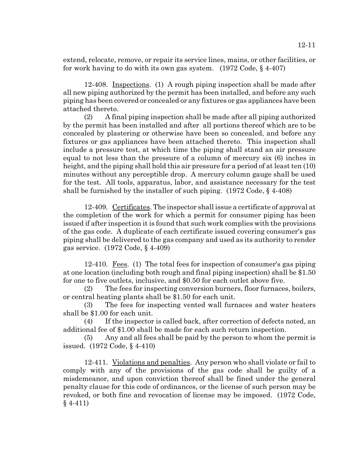extend, relocate, remove, or repair its service lines, mains, or other facilities, or for work having to do with its own gas system. (1972 Code, § 4-407)

12-408. Inspections. (1) A rough piping inspection shall be made after all new piping authorized by the permit has been installed, and before any such piping has been covered or concealed or any fixtures or gas appliances have been attached thereto.

(2) A final piping inspection shall be made after all piping authorized by the permit has been installed and after all portions thereof which are to be concealed by plastering or otherwise have been so concealed, and before any fixtures or gas appliances have been attached thereto. This inspection shall include a pressure test, at which time the piping shall stand an air pressure equal to not less than the pressure of a column of mercury six (6) inches in height, and the piping shall hold this air pressure for a period of at least ten (10) minutes without any perceptible drop. A mercury column gauge shall be used for the test. All tools, apparatus, labor, and assistance necessary for the test shall be furnished by the installer of such piping.  $(1972 \text{ Code}, \S 4-408)$ 

12-409. Certificates. The inspector shall issue a certificate of approval at the completion of the work for which a permit for consumer piping has been issued if after inspection it is found that such work complies with the provisions of the gas code. A duplicate of each certificate issued covering consumer's gas piping shall be delivered to the gas company and used as its authority to render gas service. (1972 Code, § 4-409)

12-410. Fees. (1) The total fees for inspection of consumer's gas piping at one location (including both rough and final piping inspection) shall be \$1.50 for one to five outlets, inclusive, and \$0.50 for each outlet above five.

(2) The fees for inspecting conversion burners, floor furnaces, boilers, or central heating plants shall be \$1.50 for each unit.

(3) The fees for inspecting vented wall furnaces and water heaters shall be \$1.00 for each unit.

(4) If the inspector is called back, after correction of defects noted, an additional fee of \$1.00 shall be made for each such return inspection.

(5) Any and all fees shall be paid by the person to whom the permit is issued. (1972 Code, § 4-410)

12-411. Violations and penalties. Any person who shall violate or fail to comply with any of the provisions of the gas code shall be guilty of a misdemeanor, and upon conviction thereof shall be fined under the general penalty clause for this code of ordinances, or the license of such person may be revoked, or both fine and revocation of license may be imposed. (1972 Code, § 4-411)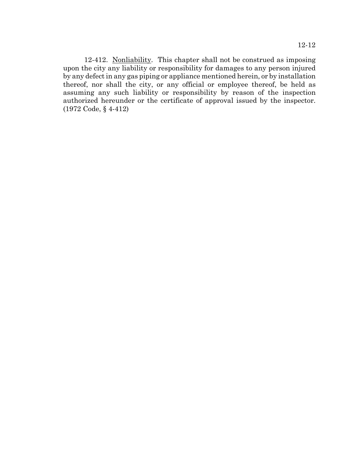12-412. Nonliability. This chapter shall not be construed as imposing upon the city any liability or responsibility for damages to any person injured by any defect in any gas piping or appliance mentioned herein, or by installation thereof, nor shall the city, or any official or employee thereof, be held as assuming any such liability or responsibility by reason of the inspection authorized hereunder or the certificate of approval issued by the inspector. (1972 Code, § 4-412)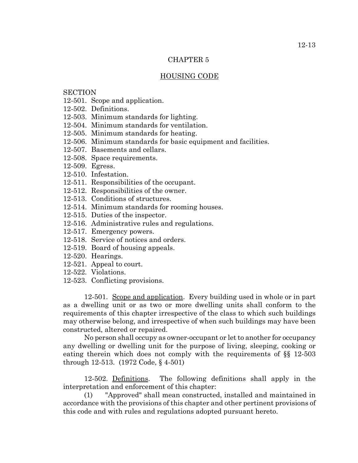## HOUSING CODE

## **SECTION**

- 12-501. Scope and application.
- 12-502. Definitions.
- 12-503. Minimum standards for lighting.
- 12-504. Minimum standards for ventilation.
- 12-505. Minimum standards for heating.
- 12-506. Minimum standards for basic equipment and facilities.
- 12-507. Basements and cellars.
- 12-508. Space requirements.
- 12-509. Egress.
- 12-510. Infestation.
- 12-511. Responsibilities of the occupant.
- 12-512. Responsibilities of the owner.
- 12-513. Conditions of structures.
- 12-514. Minimum standards for rooming houses.
- 12-515. Duties of the inspector.
- 12-516. Administrative rules and regulations.
- 12-517. Emergency powers.
- 12-518. Service of notices and orders.
- 12-519. Board of housing appeals.
- 12-520. Hearings.
- 12-521. Appeal to court.
- 12-522. Violations.
- 12-523. Conflicting provisions.

12-501. Scope and application. Every building used in whole or in part as a dwelling unit or as two or more dwelling units shall conform to the requirements of this chapter irrespective of the class to which such buildings may otherwise belong, and irrespective of when such buildings may have been constructed, altered or repaired.

No person shall occupy as owner-occupant or let to another for occupancy any dwelling or dwelling unit for the purpose of living, sleeping, cooking or eating therein which does not comply with the requirements of §§ 12-503 through 12-513. (1972 Code, § 4-501)

12-502. Definitions. The following definitions shall apply in the interpretation and enforcement of this chapter:

(1) "Approved" shall mean constructed, installed and maintained in accordance with the provisions of this chapter and other pertinent provisions of this code and with rules and regulations adopted pursuant hereto.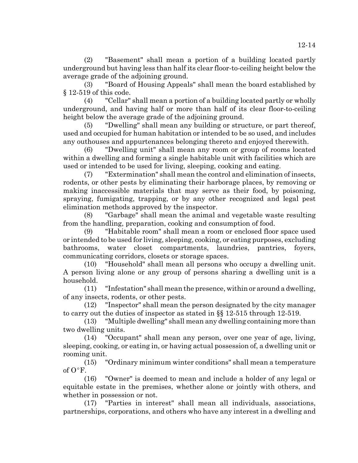(2) "Basement" shall mean a portion of a building located partly underground but having less than half its clear floor-to-ceiling height below the average grade of the adjoining ground.

(3) "Board of Housing Appeals" shall mean the board established by § 12-519 of this code.

(4) "Cellar" shall mean a portion of a building located partly or wholly underground, and having half or more than half of its clear floor-to-ceiling height below the average grade of the adjoining ground.

(5) "Dwelling" shall mean any building or structure, or part thereof, used and occupied for human habitation or intended to be so used, and includes any outhouses and appurtenances belonging thereto and enjoyed therewith.

(6) "Dwelling unit" shall mean any room or group of rooms located within a dwelling and forming a single habitable unit with facilities which are used or intended to be used for living, sleeping, cooking and eating.

(7) "Extermination" shall mean the control and elimination of insects, rodents, or other pests by eliminating their harborage places, by removing or making inaccessible materials that may serve as their food, by poisoning, spraying, fumigating, trapping, or by any other recognized and legal pest elimination methods approved by the inspector.

(8) "Garbage" shall mean the animal and vegetable waste resulting from the handling, preparation, cooking and consumption of food.

(9) "Habitable room" shall mean a room or enclosed floor space used or intended to be used for living, sleeping, cooking, or eating purposes, excluding bathrooms, water closet compartments, laundries, pantries, foyers, communicating corridors, closets or storage spaces.

(10) "Household" shall mean all persons who occupy a dwelling unit. A person living alone or any group of persons sharing a dwelling unit is a household.

(11) "Infestation" shall mean the presence, within or around a dwelling, of any insects, rodents, or other pests.

(12) "Inspector" shall mean the person designated by the city manager to carry out the duties of inspector as stated in §§ 12-515 through 12-519.

(13) "Multiple dwelling" shall mean any dwelling containing more than two dwelling units.

(14) "Occupant" shall mean any person, over one year of age, living, sleeping, cooking, or eating in, or having actual possession of, a dwelling unit or rooming unit.

(15) "Ordinary minimum winter conditions" shall mean a temperature of  $O^{\circ}F$ .

(16) "Owner" is deemed to mean and include a holder of any legal or equitable estate in the premises, whether alone or jointly with others, and whether in possession or not.

(17) "Parties in interest" shall mean all individuals, associations, partnerships, corporations, and others who have any interest in a dwelling and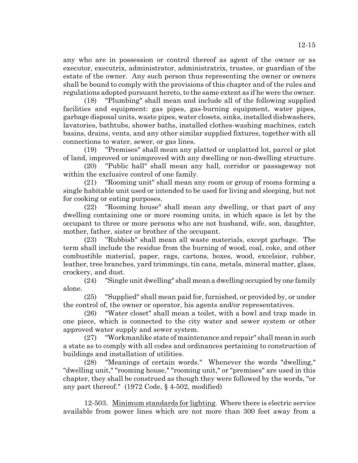any who are in possession or control thereof as agent of the owner or as executor, executrix, administrator, administratrix, trustee, or guardian of the estate of the owner. Any such person thus representing the owner or owners shall be bound to comply with the provisions of this chapter and of the rules and regulations adopted pursuant hereto, to the same extent as if he were the owner.

(18) "Plumbing" shall mean and include all of the following supplied facilities and equipment: gas pipes, gas-burning equipment, water pipes, garbage disposal units, waste pipes, water closets, sinks, installed dishwashers, lavatories, bathtubs, shower baths, installed clothes-washing machines, catch basins, drains, vents, and any other similar supplied fixtures, together with all connections to water, sewer, or gas lines.

(19) "Premises" shall mean any platted or unplatted lot, parcel or plot of land, improved or unimproved with any dwelling or non-dwelling structure.

(20) "Public hall" shall mean any hall, corridor or passageway not within the exclusive control of one family.

(21) "Rooming unit" shall mean any room or group of rooms forming a single habitable unit used or intended to be used for living and sleeping, but not for cooking or eating purposes.

(22) "Rooming house" shall mean any dwelling, or that part of any dwelling containing one or more rooming units, in which space is let by the occupant to three or more persons who are not husband, wife, son, daughter, mother, father, sister or brother of the occupant.

(23) "Rubbish" shall mean all waste materials, except garbage. The term shall include the residue from the burning of wood, coal, coke, and other combustible material, paper, rags, cartons, boxes, wood, excelsior, rubber, leather, tree branches, yard trimmings, tin cans, metals, mineral matter, glass, crockery, and dust.

(24) "Single unit dwelling" shall mean a dwelling occupied by one family alone.

(25) "Supplied" shall mean paid for, furnished, or provided by, or under the control of, the owner or operator, his agents and/or representatives.

(26) "Water closet" shall mean a toilet, with a bowl and trap made in one piece, which is connected to the city water and sewer system or other approved water supply and sewer system.

(27) "Workmanlike state of maintenance and repair" shall mean in such a state as to comply with all codes and ordinances pertaining to construction of buildings and installation of utilities.

(28) "Meanings of certain words." Whenever the words "dwelling," "dwelling unit," "rooming house," "rooming unit," or "premises" are used in this chapter, they shall be construed as though they were followed by the words, "or any part thereof." (1972 Code, § 4-502, modified)

12-503. Minimum standards for lighting. Where there is electric service available from power lines which are not more than 300 feet away from a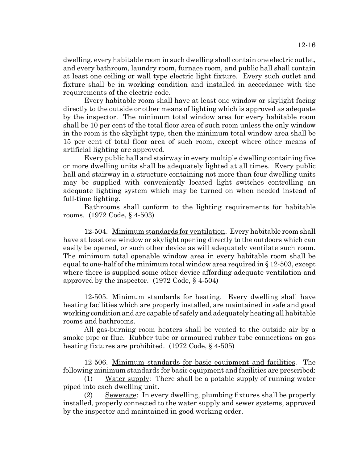dwelling, every habitable room in such dwelling shall contain one electric outlet, and every bathroom, laundry room, furnace room, and public hall shall contain at least one ceiling or wall type electric light fixture. Every such outlet and fixture shall be in working condition and installed in accordance with the requirements of the electric code.

Every habitable room shall have at least one window or skylight facing directly to the outside or other means of lighting which is approved as adequate by the inspector. The minimum total window area for every habitable room shall be 10 per cent of the total floor area of such room unless the only window in the room is the skylight type, then the minimum total window area shall be 15 per cent of total floor area of such room, except where other means of artificial lighting are approved.

Every public hall and stairway in every multiple dwelling containing five or more dwelling units shall be adequately lighted at all times. Every public hall and stairway in a structure containing not more than four dwelling units may be supplied with conveniently located light switches controlling an adequate lighting system which may be turned on when needed instead of full-time lighting.

Bathrooms shall conform to the lighting requirements for habitable rooms. (1972 Code, § 4-503)

12-504. Minimum standards for ventilation. Every habitable room shall have at least one window or skylight opening directly to the outdoors which can easily be opened, or such other device as will adequately ventilate such room. The minimum total openable window area in every habitable room shall be equal to one-half of the minimum total window area required in § 12-503, except where there is supplied some other device affording adequate ventilation and approved by the inspector. (1972 Code, § 4-504)

12-505. Minimum standards for heating. Every dwelling shall have heating facilities which are properly installed, are maintained in safe and good working condition and are capable of safely and adequately heating all habitable rooms and bathrooms.

All gas-burning room heaters shall be vented to the outside air by a smoke pipe or flue. Rubber tube or armoured rubber tube connections on gas heating fixtures are prohibited. (1972 Code, § 4-505)

12-506. Minimum standards for basic equipment and facilities. The following minimum standards for basic equipment and facilities are prescribed:

(1) Water supply: There shall be a potable supply of running water piped into each dwelling unit.

(2) Sewerage: In every dwelling, plumbing fixtures shall be properly installed, properly connected to the water supply and sewer systems, approved by the inspector and maintained in good working order.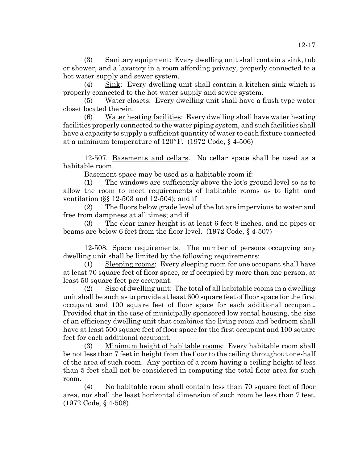(3) Sanitary equipment: Every dwelling unit shall contain a sink, tub or shower, and a lavatory in a room affording privacy, properly connected to a hot water supply and sewer system.

(4) Sink: Every dwelling unit shall contain a kitchen sink which is properly connected to the hot water supply and sewer system.

(5) Water closets: Every dwelling unit shall have a flush type water closet located therein.

(6) Water heating facilities: Every dwelling shall have water heating facilities properly connected to the water piping system, and such facilities shall have a capacity to supply a sufficient quantity of water to each fixture connected at a minimum temperature of  $120^{\circ}$ F. (1972 Code, § 4-506)

12-507. <u>Basements and cellars</u>. No cellar space shall be used as a habitable room.

Basement space may be used as a habitable room if:

(1) The windows are sufficiently above the lot's ground level so as to allow the room to meet requirements of habitable rooms as to light and ventilation (§§ 12-503 and 12-504); and if

(2) The floors below grade level of the lot are impervious to water and free from dampness at all times; and if

(3) The clear inner height is at least 6 feet 8 inches, and no pipes or beams are below 6 feet from the floor level. (1972 Code, § 4-507)

12-508. Space requirements. The number of persons occupying any dwelling unit shall be limited by the following requirements:

(1) Sleeping rooms: Every sleeping room for one occupant shall have at least 70 square feet of floor space, or if occupied by more than one person, at least 50 square feet per occupant.

(2) Size of dwelling unit: The total of all habitable rooms in a dwelling unit shall be such as to provide at least 600 square feet of floor space for the first occupant and 100 square feet of floor space for each additional occupant. Provided that in the case of municipally sponsored low rental housing, the size of an efficiency dwelling unit that combines the living room and bedroom shall have at least 500 square feet of floor space for the first occupant and 100 square feet for each additional occupant.

(3) Minimum height of habitable rooms: Every habitable room shall be not less than 7 feet in height from the floor to the ceiling throughout one-half of the area of such room. Any portion of a room having a ceiling height of less than 5 feet shall not be considered in computing the total floor area for such room.

(4) No habitable room shall contain less than 70 square feet of floor area, nor shall the least horizontal dimension of such room be less than 7 feet. (1972 Code, § 4-508)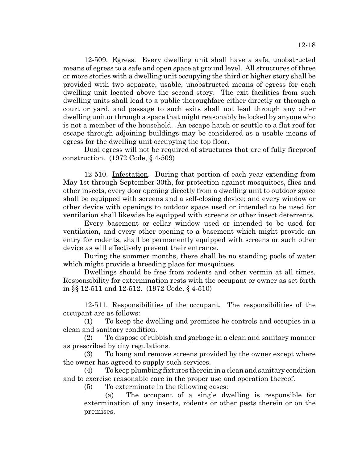12-509. Egress. Every dwelling unit shall have a safe, unobstructed means of egress to a safe and open space at ground level. All structures of three or more stories with a dwelling unit occupying the third or higher story shall be provided with two separate, usable, unobstructed means of egress for each dwelling unit located above the second story. The exit facilities from such dwelling units shall lead to a public thoroughfare either directly or through a court or yard, and passage to such exits shall not lead through any other dwelling unit or through a space that might reasonably be locked by anyone who is not a member of the household. An escape hatch or scuttle to a flat roof for escape through adjoining buildings may be considered as a usable means of egress for the dwelling unit occupying the top floor.

Dual egress will not be required of structures that are of fully fireproof construction. (1972 Code, § 4-509)

12-510. Infestation. During that portion of each year extending from May 1st through September 30th, for protection against mosquitoes, flies and other insects, every door opening directly from a dwelling unit to outdoor space shall be equipped with screens and a self-closing device; and every window or other device with openings to outdoor space used or intended to be used for ventilation shall likewise be equipped with screens or other insect deterrents.

Every basement or cellar window used or intended to be used for ventilation, and every other opening to a basement which might provide an entry for rodents, shall be permanently equipped with screens or such other device as will effectively prevent their entrance.

During the summer months, there shall be no standing pools of water which might provide a breeding place for mosquitoes.

Dwellings should be free from rodents and other vermin at all times. Responsibility for extermination rests with the occupant or owner as set forth in §§ 12-511 and 12-512. (1972 Code, § 4-510)

12-511. Responsibilities of the occupant. The responsibilities of the occupant are as follows:

(1) To keep the dwelling and premises he controls and occupies in a clean and sanitary condition.

(2) To dispose of rubbish and garbage in a clean and sanitary manner as prescribed by city regulations.

(3) To hang and remove screens provided by the owner except where the owner has agreed to supply such services.

(4) To keep plumbing fixtures therein in a clean and sanitary condition and to exercise reasonable care in the proper use and operation thereof.

(5) To exterminate in the following cases:

(a) The occupant of a single dwelling is responsible for extermination of any insects, rodents or other pests therein or on the premises.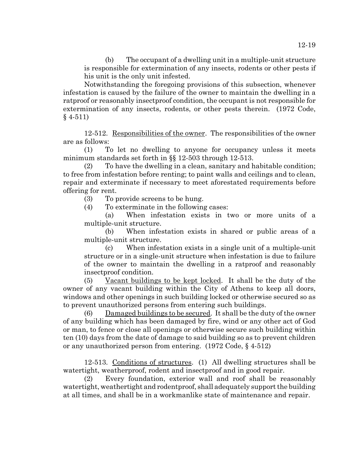(b) The occupant of a dwelling unit in a multiple-unit structure is responsible for extermination of any insects, rodents or other pests if his unit is the only unit infested.

Notwithstanding the foregoing provisions of this subsection, whenever infestation is caused by the failure of the owner to maintain the dwelling in a ratproof or reasonably insectproof condition, the occupant is not responsible for extermination of any insects, rodents, or other pests therein. (1972 Code, § 4-511)

12-512. Responsibilities of the owner. The responsibilities of the owner are as follows:

(1) To let no dwelling to anyone for occupancy unless it meets minimum standards set forth in §§ 12-503 through 12-513.

(2) To have the dwelling in a clean, sanitary and habitable condition; to free from infestation before renting; to paint walls and ceilings and to clean, repair and exterminate if necessary to meet aforestated requirements before offering for rent.

(3) To provide screens to be hung.

(4) To exterminate in the following cases:

(a) When infestation exists in two or more units of a multiple-unit structure.

(b) When infestation exists in shared or public areas of a multiple-unit structure.

(c) When infestation exists in a single unit of a multiple-unit structure or in a single-unit structure when infestation is due to failure of the owner to maintain the dwelling in a ratproof and reasonably insectproof condition.

(5) Vacant buildings to be kept locked. It shall be the duty of the owner of any vacant building within the City of Athens to keep all doors, windows and other openings in such building locked or otherwise secured so as to prevent unauthorized persons from entering such buildings.

(6) Damaged buildings to be secured. It shall be the duty of the owner of any building which has been damaged by fire, wind or any other act of God or man, to fence or close all openings or otherwise secure such building within ten (10) days from the date of damage to said building so as to prevent children or any unauthorized person from entering. (1972 Code, § 4-512)

12-513. Conditions of structures. (1) All dwelling structures shall be watertight, weatherproof, rodent and insectproof and in good repair.

(2) Every foundation, exterior wall and roof shall be reasonably watertight, weathertight and rodentproof, shall adequately support the building at all times, and shall be in a workmanlike state of maintenance and repair.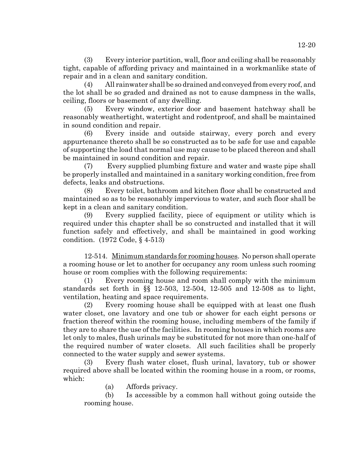(3) Every interior partition, wall, floor and ceiling shall be reasonably tight, capable of affording privacy and maintained in a workmanlike state of repair and in a clean and sanitary condition.

(4) All rainwater shall be so drained and conveyed from every roof, and the lot shall be so graded and drained as not to cause dampness in the walls, ceiling, floors or basement of any dwelling.

(5) Every window, exterior door and basement hatchway shall be reasonably weathertight, watertight and rodentproof, and shall be maintained in sound condition and repair.

(6) Every inside and outside stairway, every porch and every appurtenance thereto shall be so constructed as to be safe for use and capable of supporting the load that normal use may cause to be placed thereon and shall be maintained in sound condition and repair.

(7) Every supplied plumbing fixture and water and waste pipe shall be properly installed and maintained in a sanitary working condition, free from defects, leaks and obstructions.

(8) Every toilet, bathroom and kitchen floor shall be constructed and maintained so as to be reasonably impervious to water, and such floor shall be kept in a clean and sanitary condition.

(9) Every supplied facility, piece of equipment or utility which is required under this chapter shall be so constructed and installed that it will function safely and effectively, and shall be maintained in good working condition. (1972 Code, § 4-513)

12-514. Minimum standards for rooming houses. No person shall operate a rooming house or let to another for occupancy any room unless such rooming house or room complies with the following requirements:

(1) Every rooming house and room shall comply with the minimum standards set forth in §§ 12-503, 12-504, 12-505 and 12-508 as to light, ventilation, heating and space requirements.

(2) Every rooming house shall be equipped with at least one flush water closet, one lavatory and one tub or shower for each eight persons or fraction thereof within the rooming house, including members of the family if they are to share the use of the facilities. In rooming houses in which rooms are let only to males, flush urinals may be substituted for not more than one-half of the required number of water closets. All such facilities shall be properly connected to the water supply and sewer systems.

(3) Every flush water closet, flush urinal, lavatory, tub or shower required above shall be located within the rooming house in a room, or rooms, which:

(a) Affords privacy.

(b) Is accessible by a common hall without going outside the rooming house.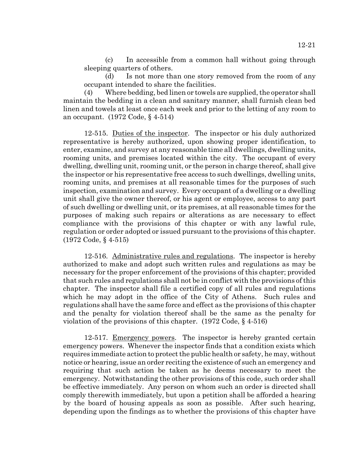(c) In accessible from a common hall without going through sleeping quarters of others.

(d) Is not more than one story removed from the room of any occupant intended to share the facilities.

(4) Where bedding, bed linen or towels are supplied, the operator shall maintain the bedding in a clean and sanitary manner, shall furnish clean bed linen and towels at least once each week and prior to the letting of any room to an occupant. (1972 Code, § 4-514)

12-515. Duties of the inspector. The inspector or his duly authorized representative is hereby authorized, upon showing proper identification, to enter, examine, and survey at any reasonable time all dwellings, dwelling units, rooming units, and premises located within the city. The occupant of every dwelling, dwelling unit, rooming unit, or the person in charge thereof, shall give the inspector or his representative free access to such dwellings, dwelling units, rooming units, and premises at all reasonable times for the purposes of such inspection, examination and survey. Every occupant of a dwelling or a dwelling unit shall give the owner thereof, or his agent or employee, access to any part of such dwelling or dwelling unit, or its premises, at all reasonable times for the purposes of making such repairs or alterations as are necessary to effect compliance with the provisions of this chapter or with any lawful rule, regulation or order adopted or issued pursuant to the provisions of this chapter. (1972 Code, § 4-515)

12-516. Administrative rules and regulations. The inspector is hereby authorized to make and adopt such written rules and regulations as may be necessary for the proper enforcement of the provisions of this chapter; provided that such rules and regulations shall not be in conflict with the provisions of this chapter. The inspector shall file a certified copy of all rules and regulations which he may adopt in the office of the City of Athens. Such rules and regulations shall have the same force and effect as the provisions of this chapter and the penalty for violation thereof shall be the same as the penalty for violation of the provisions of this chapter. (1972 Code, § 4-516)

12-517. Emergency powers. The inspector is hereby granted certain emergency powers. Whenever the inspector finds that a condition exists which requires immediate action to protect the public health or safety, he may, without notice or hearing, issue an order reciting the existence of such an emergency and requiring that such action be taken as he deems necessary to meet the emergency. Notwithstanding the other provisions of this code, such order shall be effective immediately. Any person on whom such an order is directed shall comply therewith immediately, but upon a petition shall be afforded a hearing by the board of housing appeals as soon as possible. After such hearing, depending upon the findings as to whether the provisions of this chapter have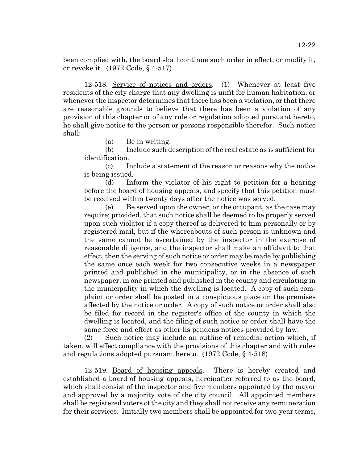been complied with, the board shall continue such order in effect, or modify it, or revoke it. (1972 Code, § 4-517)

12-518. Service of notices and orders. (1) Whenever at least five residents of the city charge that any dwelling is unfit for human habitation, or whenever the inspector determines that there has been a violation, or that there are reasonable grounds to believe that there has been a violation of any provision of this chapter or of any rule or regulation adopted pursuant hereto, he shall give notice to the person or persons responsible therefor. Such notice shall:

(a) Be in writing.

(b) Include such description of the real estate as is sufficient for identification.

(c) Include a statement of the reason or reasons why the notice is being issued.

(d) Inform the violator of his right to petition for a hearing before the board of housing appeals, and specify that this petition must be received within twenty days after the notice was served.

(e) Be served upon the owner, or the occupant, as the case may require; provided, that such notice shall be deemed to be properly served upon such violator if a copy thereof is delivered to him personally or by registered mail, but if the whereabouts of such person is unknown and the same cannot be ascertained by the inspector in the exercise of reasonable diligence, and the inspector shall make an affidavit to that effect, then the serving of such notice or order may be made by publishing the same once each week for two consecutive weeks in a newspaper printed and published in the municipality, or in the absence of such newspaper, in one printed and published in the county and circulating in the municipality in which the dwelling is located. A copy of such complaint or order shall be posted in a conspicuous place on the premises affected by the notice or order. A copy of such notice or order shall also be filed for record in the register's office of the county in which the dwelling is located, and the filing of such notice or order shall have the same force and effect as other lis pendens notices provided by law.

(2) Such notice may include an outline of remedial action which, if taken, will effect compliance with the provisions of this chapter and with rules and regulations adopted pursuant hereto. (1972 Code, § 4-518)

12-519. Board of housing appeals. There is hereby created and established a board of housing appeals, hereinafter referred to as the board, which shall consist of the inspector and five members appointed by the mayor and approved by a majority vote of the city council. All appointed members shall be registered voters of the city and they shall not receive any remuneration for their services. Initially two members shall be appointed for two-year terms,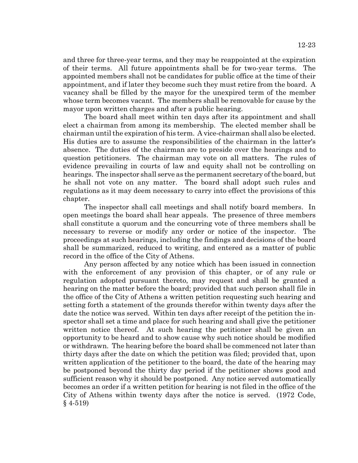and three for three-year terms, and they may be reappointed at the expiration of their terms. All future appointments shall be for two-year terms. The appointed members shall not be candidates for public office at the time of their appointment, and if later they become such they must retire from the board. A vacancy shall be filled by the mayor for the unexpired term of the member whose term becomes vacant. The members shall be removable for cause by the mayor upon written charges and after a public hearing.

The board shall meet within ten days after its appointment and shall elect a chairman from among its membership. The elected member shall be chairman until the expiration of his term. A vice-chairman shall also be elected. His duties are to assume the responsibilities of the chairman in the latter's absence. The duties of the chairman are to preside over the hearings and to question petitioners. The chairman may vote on all matters. The rules of evidence prevailing in courts of law and equity shall not be controlling on hearings. The inspector shall serve as the permanent secretary of the board, but he shall not vote on any matter. The board shall adopt such rules and regulations as it may deem necessary to carry into effect the provisions of this chapter.

The inspector shall call meetings and shall notify board members. In open meetings the board shall hear appeals. The presence of three members shall constitute a quorum and the concurring vote of three members shall be necessary to reverse or modify any order or notice of the inspector. The proceedings at such hearings, including the findings and decisions of the board shall be summarized, reduced to writing, and entered as a matter of public record in the office of the City of Athens.

Any person affected by any notice which has been issued in connection with the enforcement of any provision of this chapter, or of any rule or regulation adopted pursuant thereto, may request and shall be granted a hearing on the matter before the board; provided that such person shall file in the office of the City of Athens a written petition requesting such hearing and setting forth a statement of the grounds therefor within twenty days after the date the notice was served. Within ten days after receipt of the petition the inspector shall set a time and place for such hearing and shall give the petitioner written notice thereof. At such hearing the petitioner shall be given an opportunity to be heard and to show cause why such notice should be modified or withdrawn. The hearing before the board shall be commenced not later than thirty days after the date on which the petition was filed; provided that, upon written application of the petitioner to the board, the date of the hearing may be postponed beyond the thirty day period if the petitioner shows good and sufficient reason why it should be postponed. Any notice served automatically becomes an order if a written petition for hearing is not filed in the office of the City of Athens within twenty days after the notice is served. (1972 Code, § 4-519)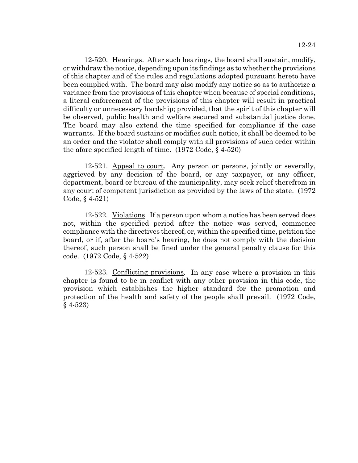12-520. Hearings. After such hearings, the board shall sustain, modify, or withdraw the notice, depending upon its findings as to whether the provisions of this chapter and of the rules and regulations adopted pursuant hereto have been complied with. The board may also modify any notice so as to authorize a variance from the provisions of this chapter when because of special conditions, a literal enforcement of the provisions of this chapter will result in practical difficulty or unnecessary hardship; provided, that the spirit of this chapter will be observed, public health and welfare secured and substantial justice done. The board may also extend the time specified for compliance if the case warrants. If the board sustains or modifies such notice, it shall be deemed to be an order and the violator shall comply with all provisions of such order within the afore specified length of time. (1972 Code, § 4-520)

12-521. Appeal to court. Any person or persons, jointly or severally, aggrieved by any decision of the board, or any taxpayer, or any officer, department, board or bureau of the municipality, may seek relief therefrom in any court of competent jurisdiction as provided by the laws of the state. (1972 Code, § 4-521)

12-522. Violations. If a person upon whom a notice has been served does not, within the specified period after the notice was served, commence compliance with the directives thereof, or, within the specified time, petition the board, or if, after the board's hearing, he does not comply with the decision thereof, such person shall be fined under the general penalty clause for this code. (1972 Code, § 4-522)

12-523. Conflicting provisions. In any case where a provision in this chapter is found to be in conflict with any other provision in this code, the provision which establishes the higher standard for the promotion and protection of the health and safety of the people shall prevail. (1972 Code, § 4-523)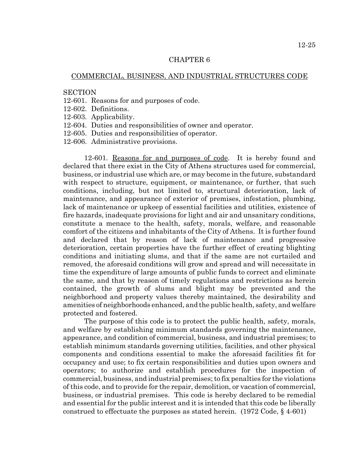### COMMERCIAL, BUSINESS, AND INDUSTRIAL STRUCTURES CODE

#### **SECTION**

- 12-601. Reasons for and purposes of code.
- 12-602. Definitions.
- 12-603. Applicability.
- 12-604. Duties and responsibilities of owner and operator.
- 12-605. Duties and responsibilities of operator.
- 12-606. Administrative provisions.

12-601. Reasons for and purposes of code. It is hereby found and declared that there exist in the City of Athens structures used for commercial, business, or industrial use which are, or may become in the future, substandard with respect to structure, equipment, or maintenance, or further, that such conditions, including, but not limited to, structural deterioration, lack of maintenance, and appearance of exterior of premises, infestation, plumbing, lack of maintenance or upkeep of essential facilities and utilities, existence of fire hazards, inadequate provisions for light and air and unsanitary conditions, constitute a menace to the health, safety, morals, welfare, and reasonable comfort of the citizens and inhabitants of the City of Athens. It is further found and declared that by reason of lack of maintenance and progressive deterioration, certain properties have the further effect of creating blighting conditions and initiating slums, and that if the same are not curtailed and removed, the aforesaid conditions will grow and spread and will necessitate in time the expenditure of large amounts of public funds to correct and eliminate the same, and that by reason of timely regulations and restrictions as herein contained, the growth of slums and blight may be prevented and the neighborhood and property values thereby maintained, the desirability and amenities of neighborhoods enhanced, and the public health, safety, and welfare protected and fostered.

The purpose of this code is to protect the public health, safety, morals, and welfare by establishing minimum standards governing the maintenance, appearance, and condition of commercial, business, and industrial premises; to establish minimum standards governing utilities, facilities, and other physical components and conditions essential to make the aforesaid facilities fit for occupancy and use; to fix certain responsibilities and duties upon owners and operators; to authorize and establish procedures for the inspection of commercial, business, and industrial premises; to fix penalties for the violations of this code, and to provide for the repair, demolition, or vacation of commercial, business, or industrial premises. This code is hereby declared to be remedial and essential for the public interest and it is intended that this code be liberally construed to effectuate the purposes as stated herein.  $(1972 \text{ Code}, \S 4-601)$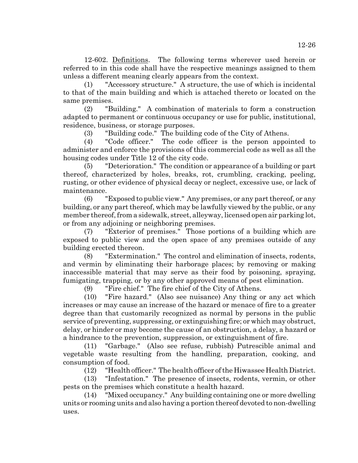12-602. Definitions. The following terms wherever used herein or referred to in this code shall have the respective meanings assigned to them unless a different meaning clearly appears from the context.

(1) "Accessory structure." A structure, the use of which is incidental to that of the main building and which is attached thereto or located on the same premises.

(2) "Building." A combination of materials to form a construction adapted to permanent or continuous occupancy or use for public, institutional, residence, business, or storage purposes.

(3) "Building code." The building code of the City of Athens.

(4) "Code officer." The code officer is the person appointed to administer and enforce the provisions of this commercial code as well as all the housing codes under Title 12 of the city code.

(5) "Deterioration." The condition or appearance of a building or part thereof, characterized by holes, breaks, rot, crumbling, cracking, peeling, rusting, or other evidence of physical decay or neglect, excessive use, or lack of maintenance.

(6) "Exposed to public view." Any premises, or any part thereof, or any building, or any part thereof, which may be lawfully viewed by the public, or any member thereof, from a sidewalk, street, alleyway, licensed open air parking lot, or from any adjoining or neighboring premises.

(7) "Exterior of premises." Those portions of a building which are exposed to public view and the open space of any premises outside of any building erected thereon.

(8) "Extermination." The control and elimination of insects, rodents, and vermin by eliminating their harborage places; by removing or making inaccessible material that may serve as their food by poisoning, spraying, fumigating, trapping, or by any other approved means of pest elimination.

(9) "Fire chief." The fire chief of the City of Athens.

(10) "Fire hazard." (Also see nuisance) Any thing or any act which increases or may cause an increase of the hazard or menace of fire to a greater degree than that customarily recognized as normal by persons in the public service of preventing, suppressing, or extinguishing fire; or which may obstruct, delay, or hinder or may become the cause of an obstruction, a delay, a hazard or a hindrance to the prevention, suppression, or extinguishment of fire.

(11) "Garbage." (Also see refuse, rubbish) Putrescible animal and vegetable waste resulting from the handling, preparation, cooking, and consumption of food.

(12) "Health officer." The health officer of the Hiwassee Health District.

(13) "Infestation." The presence of insects, rodents, vermin, or other pests on the premises which constitute a health hazard.

(14) "Mixed occupancy." Any building containing one or more dwelling units or rooming units and also having a portion thereof devoted to non-dwelling uses.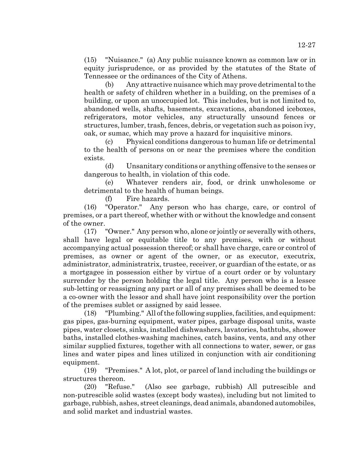(15) "Nuisance." (a) Any public nuisance known as common law or in equity jurisprudence, or as provided by the statutes of the State of Tennessee or the ordinances of the City of Athens.

(b) Any attractive nuisance which may prove detrimental to the health or safety of children whether in a building, on the premises of a building, or upon an unoccupied lot. This includes, but is not limited to, abandoned wells, shafts, basements, excavations, abandoned iceboxes, refrigerators, motor vehicles, any structurally unsound fences or structures, lumber, trash, fences, debris, or vegetation such as poison ivy, oak, or sumac, which may prove a hazard for inquisitive minors.

(c) Physical conditions dangerous to human life or detrimental to the health of persons on or near the premises where the condition exists.

(d) Unsanitary conditions or anything offensive to the senses or dangerous to health, in violation of this code.

(e) Whatever renders air, food, or drink unwholesome or detrimental to the health of human beings.

(f) Fire hazards.

(16) "Operator." Any person who has charge, care, or control of premises, or a part thereof, whether with or without the knowledge and consent of the owner.

(17) "Owner." Any person who, alone or jointly or severally with others, shall have legal or equitable title to any premises, with or without accompanying actual possession thereof; or shall have charge, care or control of premises, as owner or agent of the owner, or as executor, executrix, administrator, administratrix, trustee, receiver, or guardian of the estate, or as a mortgagee in possession either by virtue of a court order or by voluntary surrender by the person holding the legal title. Any person who is a lessee sub-letting or reassigning any part or all of any premises shall be deemed to be a co-owner with the lessor and shall have joint responsibility over the portion of the premises sublet or assigned by said lessee.

(18) "Plumbing." All of the following supplies, facilities, and equipment: gas pipes, gas-burning equipment, water pipes, garbage disposal units, waste pipes, water closets, sinks, installed dishwashers, lavatories, bathtubs, shower baths, installed clothes-washing machines, catch basins, vents, and any other similar supplied fixtures, together with all connections to water, sewer, or gas lines and water pipes and lines utilized in conjunction with air conditioning equipment.

(19) "Premises." A lot, plot, or parcel of land including the buildings or structures thereon.

(20) "Refuse." (Also see garbage, rubbish) All putrescible and non-putrescible solid wastes (except body wastes), including but not limited to garbage, rubbish, ashes, street cleanings, dead animals, abandoned automobiles, and solid market and industrial wastes.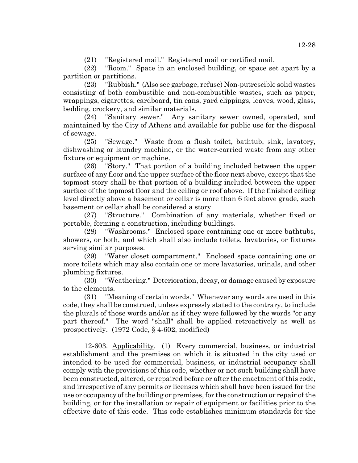(21) "Registered mail." Registered mail or certified mail.

(22) "Room." Space in an enclosed building, or space set apart by a partition or partitions.

(23) "Rubbish." (Also see garbage, refuse) Non-putrescible solid wastes consisting of both combustible and non-combustible wastes, such as paper, wrappings, cigarettes, cardboard, tin cans, yard clippings, leaves, wood, glass, bedding, crockery, and similar materials.

(24) "Sanitary sewer." Any sanitary sewer owned, operated, and maintained by the City of Athens and available for public use for the disposal of sewage.

(25) "Sewage." Waste from a flush toilet, bathtub, sink, lavatory, dishwashing or laundry machine, or the water-carried waste from any other fixture or equipment or machine.

(26) "Story." That portion of a building included between the upper surface of any floor and the upper surface of the floor next above, except that the topmost story shall be that portion of a building included between the upper surface of the topmost floor and the ceiling or roof above. If the finished ceiling level directly above a basement or cellar is more than 6 feet above grade, such basement or cellar shall be considered a story.

(27) "Structure." Combination of any materials, whether fixed or portable, forming a construction, including buildings.

(28) "Washrooms." Enclosed space containing one or more bathtubs, showers, or both, and which shall also include toilets, lavatories, or fixtures serving similar purposes.

(29) "Water closet compartment." Enclosed space containing one or more toilets which may also contain one or more lavatories, urinals, and other plumbing fixtures.

(30) "Weathering." Deterioration, decay, or damage caused by exposure to the elements.

(31) "Meaning of certain words." Whenever any words are used in this code, they shall be construed, unless expressly stated to the contrary, to include the plurals of those words and/or as if they were followed by the words "or any part thereof." The word "shall" shall be applied retroactively as well as prospectively. (1972 Code, § 4-602, modified)

12-603. Applicability. (1) Every commercial, business, or industrial establishment and the premises on which it is situated in the city used or intended to be used for commercial, business, or industrial occupancy shall comply with the provisions of this code, whether or not such building shall have been constructed, altered, or repaired before or after the enactment of this code, and irrespective of any permits or licenses which shall have been issued for the use or occupancy of the building or premises, for the construction or repair of the building, or for the installation or repair of equipment or facilities prior to the effective date of this code. This code establishes minimum standards for the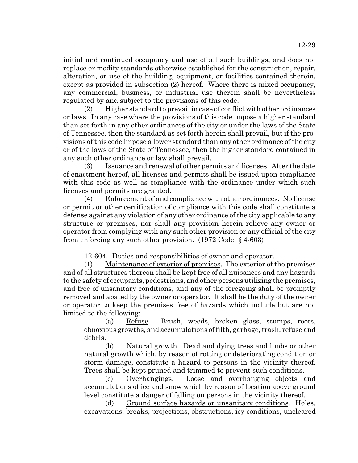initial and continued occupancy and use of all such buildings, and does not replace or modify standards otherwise established for the construction, repair, alteration, or use of the building, equipment, or facilities contained therein, except as provided in subsection (2) hereof. Where there is mixed occupancy, any commercial, business, or industrial use therein shall be nevertheless regulated by and subject to the provisions of this code.

(2) Higher standard to prevail in case of conflict with other ordinances or laws. In any case where the provisions of this code impose a higher standard than set forth in any other ordinances of the city or under the laws of the State of Tennessee, then the standard as set forth herein shall prevail, but if the provisions of this code impose a lower standard than any other ordinance of the city or of the laws of the State of Tennessee, then the higher standard contained in any such other ordinance or law shall prevail.

(3) Issuance and renewal of other permits and licenses. After the date of enactment hereof, all licenses and permits shall be issued upon compliance with this code as well as compliance with the ordinance under which such licenses and permits are granted.

(4) Enforcement of and compliance with other ordinances. No license or permit or other certification of compliance with this code shall constitute a defense against any violation of any other ordinance of the city applicable to any structure or premises, nor shall any provision herein relieve any owner or operator from complying with any such other provision or any official of the city from enforcing any such other provision. (1972 Code, § 4-603)

12-604. Duties and responsibilities of owner and operator.

(1) Maintenance of exterior of premises. The exterior of the premises and of all structures thereon shall be kept free of all nuisances and any hazards to the safety of occupants, pedestrians, and other persons utilizing the premises, and free of unsanitary conditions, and any of the foregoing shall be promptly removed and abated by the owner or operator. It shall be the duty of the owner or operator to keep the premises free of hazards which include but are not limited to the following:

(a) Refuse. Brush, weeds, broken glass, stumps, roots, obnoxious growths, and accumulations of filth, garbage, trash, refuse and debris.

(b) Natural growth. Dead and dying trees and limbs or other natural growth which, by reason of rotting or deteriorating condition or storm damage, constitute a hazard to persons in the vicinity thereof. Trees shall be kept pruned and trimmed to prevent such conditions.

(c) Overhangings. Loose and overhanging objects and accumulations of ice and snow which by reason of location above ground level constitute a danger of falling on persons in the vicinity thereof.

(d) Ground surface hazards or unsanitary conditions. Holes, excavations, breaks, projections, obstructions, icy conditions, uncleared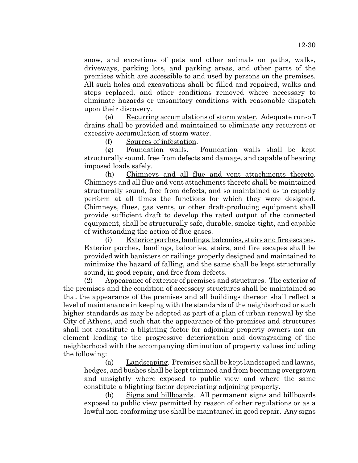snow, and excretions of pets and other animals on paths, walks, driveways, parking lots, and parking areas, and other parts of the premises which are accessible to and used by persons on the premises. All such holes and excavations shall be filled and repaired, walks and steps replaced, and other conditions removed where necessary to eliminate hazards or unsanitary conditions with reasonable dispatch upon their discovery.

(e) Recurring accumulations of storm water. Adequate run-off drains shall be provided and maintained to eliminate any recurrent or excessive accumulation of storm water.

(f) Sources of infestation.

(g) Foundation walls. Foundation walls shall be kept structurally sound, free from defects and damage, and capable of bearing imposed loads safely.

(h) Chimneys and all flue and vent attachments thereto. Chimneys and all flue and vent attachments thereto shall be maintained structurally sound, free from defects, and so maintained as to capably perform at all times the functions for which they were designed. Chimneys, flues, gas vents, or other draft-producing equipment shall provide sufficient draft to develop the rated output of the connected equipment, shall be structurally safe, durable, smoke-tight, and capable of withstanding the action of flue gases.

(i) Exterior porches, landings, balconies, stairs and fire escapes. Exterior porches, landings, balconies, stairs, and fire escapes shall be provided with banisters or railings properly designed and maintained to minimize the hazard of falling, and the same shall be kept structurally sound, in good repair, and free from defects.

(2) Appearance of exterior of premises and structures. The exterior of the premises and the condition of accessory structures shall be maintained so that the appearance of the premises and all buildings thereon shall reflect a level of maintenance in keeping with the standards of the neighborhood or such higher standards as may be adopted as part of a plan of urban renewal by the City of Athens, and such that the appearance of the premises and structures shall not constitute a blighting factor for adjoining property owners nor an element leading to the progressive deterioration and downgrading of the neighborhood with the accompanying diminution of property values including the following:

(a) Landscaping. Premises shall be kept landscaped and lawns, hedges, and bushes shall be kept trimmed and from becoming overgrown and unsightly where exposed to public view and where the same constitute a blighting factor depreciating adjoining property.

(b) Signs and billboards. All permanent signs and billboards exposed to public view permitted by reason of other regulations or as a lawful non-conforming use shall be maintained in good repair. Any signs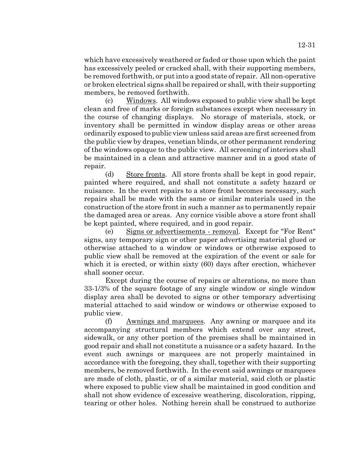which have excessively weathered or faded or those upon which the paint has excessively peeled or cracked shall, with their supporting members, be removed forthwith, or put into a good state of repair. All non-operative

members, be removed forthwith. (c) Windows. All windows exposed to public view shall be kept clean and free of marks or foreign substances except when necessary in the course of changing displays. No storage of materials, stock, or inventory shall be permitted in window display areas or other areas ordinarily exposed to public view unless said areas are first screened from the public view by drapes, venetian blinds, or other permanent rendering of the windows opaque to the public view. All screening of interiors shall be maintained in a clean and attractive manner and in a good state of repair.

or broken electrical signs shall be repaired or shall, with their supporting

(d) Store fronts. All store fronts shall be kept in good repair, painted where required, and shall not constitute a safety hazard or nuisance. In the event repairs to a store front becomes necessary, such repairs shall be made with the same or similar materials used in the construction of the store front in such a manner as to permanently repair the damaged area or areas. Any cornice visible above a store front shall be kept painted, where required, and in good repair.

(e) Signs or advertisements - removal. Except for "For Rent" signs, any temporary sign or other paper advertising material glued or otherwise attached to a window or windows or otherwise exposed to public view shall be removed at the expiration of the event or sale for which it is erected, or within sixty (60) days after erection, whichever shall sooner occur.

Except during the course of repairs or alterations, no more than 33-1/3% of the square footage of any single window or single window display area shall be devoted to signs or other temporary advertising material attached to said window or windows or otherwise exposed to public view.

(f) Awnings and marquees. Any awning or marquee and its accompanying structural members which extend over any street, sidewalk, or any other portion of the premises shall be maintained in good repair and shall not constitute a nuisance or a safety hazard. In the event such awnings or marquees are not properly maintained in accordance with the foregoing, they shall, together with their supporting members, be removed forthwith. In the event said awnings or marquees are made of cloth, plastic, or of a similar material, said cloth or plastic where exposed to public view shall be maintained in good condition and shall not show evidence of excessive weathering, discoloration, ripping, tearing or other holes. Nothing herein shall be construed to authorize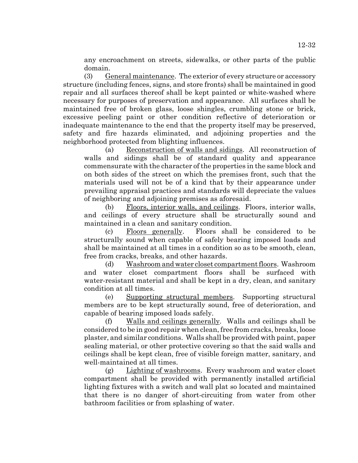any encroachment on streets, sidewalks, or other parts of the public domain.

(3) General maintenance. The exterior of every structure or accessory structure (including fences, signs, and store fronts) shall be maintained in good repair and all surfaces thereof shall be kept painted or white-washed where necessary for purposes of preservation and appearance. All surfaces shall be maintained free of broken glass, loose shingles, crumbling stone or brick, excessive peeling paint or other condition reflective of deterioration or inadequate maintenance to the end that the property itself may be preserved, safety and fire hazards eliminated, and adjoining properties and the neighborhood protected from blighting influences.

(a) Reconstruction of walls and sidings. All reconstruction of walls and sidings shall be of standard quality and appearance commensurate with the character of the properties in the same block and on both sides of the street on which the premises front, such that the materials used will not be of a kind that by their appearance under prevailing appraisal practices and standards will depreciate the values of neighboring and adjoining premises as aforesaid.

(b) Floors, interior walls, and ceilings. Floors, interior walls, and ceilings of every structure shall be structurally sound and maintained in a clean and sanitary condition.

(c) Floors generally. Floors shall be considered to be structurally sound when capable of safely bearing imposed loads and shall be maintained at all times in a condition so as to be smooth, clean, free from cracks, breaks, and other hazards.

(d) Washroom and water closet compartment floors. Washroom and water closet compartment floors shall be surfaced with water-resistant material and shall be kept in a dry, clean, and sanitary condition at all times.

(e) Supporting structural members. Supporting structural members are to be kept structurally sound, free of deterioration, and capable of bearing imposed loads safely.

(f) Walls and ceilings generally. Walls and ceilings shall be considered to be in good repair when clean, free from cracks, breaks, loose plaster, and similar conditions. Walls shall be provided with paint, paper sealing material, or other protective covering so that the said walls and ceilings shall be kept clean, free of visible foreign matter, sanitary, and well-maintained at all times.

(g) Lighting of washrooms. Every washroom and water closet compartment shall be provided with permanently installed artificial lighting fixtures with a switch and wall plat so located and maintained that there is no danger of short-circuiting from water from other bathroom facilities or from splashing of water.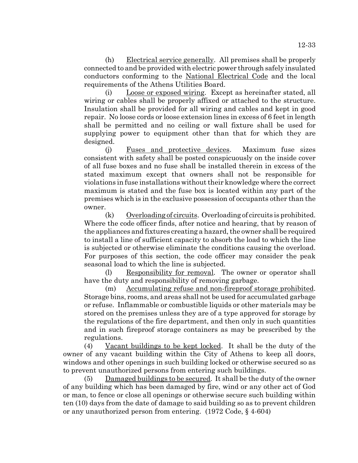(h) Electrical service generally. All premises shall be properly connected to and be provided with electric power through safely insulated conductors conforming to the National Electrical Code and the local requirements of the Athens Utilities Board.

(i) Loose or exposed wiring. Except as hereinafter stated, all wiring or cables shall be properly affixed or attached to the structure. Insulation shall be provided for all wiring and cables and kept in good repair. No loose cords or loose extension lines in excess of 6 feet in length shall be permitted and no ceiling or wall fixture shall be used for supplying power to equipment other than that for which they are designed.

(j) Fuses and protective devices. Maximum fuse sizes consistent with safety shall be posted conspicuously on the inside cover of all fuse boxes and no fuse shall be installed therein in excess of the stated maximum except that owners shall not be responsible for violations in fuse installations without their knowledge where the correct maximum is stated and the fuse box is located within any part of the premises which is in the exclusive possession of occupants other than the owner.

 $(k)$  Overloading of circuits. Overloading of circuits is prohibited. Where the code officer finds, after notice and hearing, that by reason of the appliances and fixtures creating a hazard, the owner shall be required to install a line of sufficient capacity to absorb the load to which the line is subjected or otherwise eliminate the conditions causing the overload. For purposes of this section, the code officer may consider the peak seasonal load to which the line is subjected.

(l) Responsibility for removal. The owner or operator shall have the duty and responsibility of removing garbage.

(m) Accumulating refuse and non-fireproof storage prohibited. Storage bins, rooms, and areas shall not be used for accumulated garbage or refuse. Inflammable or combustible liquids or other materials may be stored on the premises unless they are of a type approved for storage by the regulations of the fire department, and then only in such quantities and in such fireproof storage containers as may be prescribed by the regulations.

(4) Vacant buildings to be kept locked. It shall be the duty of the owner of any vacant building within the City of Athens to keep all doors, windows and other openings in such building locked or otherwise secured so as to prevent unauthorized persons from entering such buildings.

 $(5)$  Damaged buildings to be secured. It shall be the duty of the owner of any building which has been damaged by fire, wind or any other act of God or man, to fence or close all openings or otherwise secure such building within ten (10) days from the date of damage to said building so as to prevent children or any unauthorized person from entering. (1972 Code, § 4-604)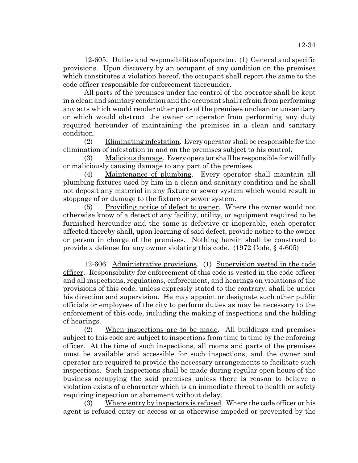12-605. Duties and responsibilities of operator. (1) General and specific provisions. Upon discovery by an occupant of any condition on the premises which constitutes a violation hereof, the occupant shall report the same to the code officer responsible for enforcement thereunder.

All parts of the premises under the control of the operator shall be kept in a clean and sanitary condition and the occupant shall refrain from performing any acts which would render other parts of the premises unclean or unsanitary or which would obstruct the owner or operator from performing any duty required hereunder of maintaining the premises in a clean and sanitary condition.

(2) Eliminating infestation. Every operator shall be responsible for the elimination of infestation in and on the premises subject to his control.

(3) Malicious damage. Every operator shall be responsible for willfully or maliciously causing damage to any part of the premises.

(4) Maintenance of plumbing. Every operator shall maintain all plumbing fixtures used by him in a clean and sanitary condition and he shall not deposit any material in any fixture or sewer system which would result in stoppage of or damage to the fixture or sewer system.

(5) Providing notice of defect to owner. Where the owner would not otherwise know of a detect of any facility, utility, or equipment required to be furnished hereunder and the same is defective or inoperable, each operator affected thereby shall, upon learning of said defect, provide notice to the owner or person in charge of the premises. Nothing herein shall be construed to provide a defense for any owner violating this code. (1972 Code, § 4-605)

12-606. Administrative provisions. (1) Supervision vested in the code officer. Responsibility for enforcement of this code is vested in the code officer and all inspections, regulations, enforcement, and hearings on violations of the provisions of this code, unless expressly stated to the contrary, shall be under his direction and supervision. He may appoint or designate such other public officials or employees of the city to perform duties as may be necessary to the enforcement of this code, including the making of inspections and the holding of hearings.

(2) When inspections are to be made. All buildings and premises subject to this code are subject to inspections from time to time by the enforcing officer. At the time of such inspections, all rooms and parts of the premises must be available and accessible for such inspections, and the owner and operator are required to provide the necessary arrangements to facilitate such inspections. Such inspections shall be made during regular open hours of the business occupying the said premises unless there is reason to believe a violation exists of a character which is an immediate threat to health or safety requiring inspection or abatement without delay.

(3) Where entry by inspectors is refused. Where the code officer or his agent is refused entry or access or is otherwise impeded or prevented by the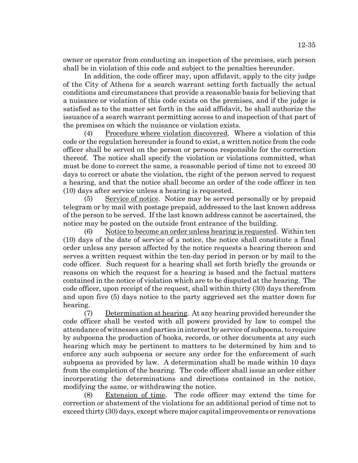owner or operator from conducting an inspection of the premises, such person shall be in violation of this code and subject to the penalties hereunder.

In addition, the code officer may, upon affidavit, apply to the city judge of the City of Athens for a search warrant setting forth factually the actual conditions and circumstances that provide a reasonable basis for believing that a nuisance or violation of this code exists on the premises, and if the judge is satisfied as to the matter set forth in the said affidavit, he shall authorize the issuance of a search warrant permitting access to and inspection of that part of the premises on which the nuisance or violation exists.

(4) Procedure where violation discovered. Where a violation of this code or the regulation hereunder is found to exist, a written notice from the code officer shall be served on the person or persons responsible for the correction thereof. The notice shall specify the violation or violations committed, what must be done to correct the same, a reasonable period of time not to exceed 30 days to correct or abate the violation, the right of the person served to request a hearing, and that the notice shall become an order of the code officer in ten (10) days after service unless a hearing is requested.

(5) Service of notice. Notice may be served personally or by prepaid telegram or by mail with postage prepaid, addressed to the last known address of the person to be served. If the last known address cannot be ascertained, the notice may be posted on the outside front entrance of the building.

(6) Notice to become an order unless hearing is requested. Within ten (10) days of the date of service of a notice, the notice shall constitute a final order unless any person affected by the notice requests a hearing thereon and serves a written request within the ten-day period in person or by mail to the code officer. Such request for a hearing shall set forth briefly the grounds or reasons on which the request for a hearing is based and the factual matters contained in the notice of violation which are to be disputed at the hearing. The code officer, upon receipt of the request, shall within thirty (30) days therefrom and upon five (5) days notice to the party aggrieved set the matter down for hearing.

(7) Determination at hearing. At any hearing provided hereunder the code officer shall be vested with all powers provided by law to compel the attendance of witnesses and parties in interest by service of subpoena, to require by subpoena the production of books, records, or other documents at any such hearing which may be pertinent to matters to be determined by him and to enforce any such subpoena or secure any order for the enforcement of such subpoena as provided by law. A determination shall be made within 10 days from the completion of the hearing. The code officer shall issue an order either incorporating the determinations and directions contained in the notice, modifying the same, or withdrawing the notice.

(8) Extension of time. The code officer may extend the time for correction or abatement of the violations for an additional period of time not to exceed thirty (30) days, except where major capital improvements or renovations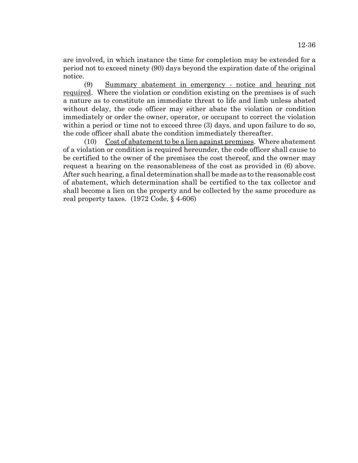are involved, in which instance the time for completion may be extended for a period not to exceed ninety (90) days beyond the expiration date of the original notice.

(9) Summary abatement in emergency - notice and hearing not required. Where the violation or condition existing on the premises is of such a nature as to constitute an immediate threat to life and limb unless abated without delay, the code officer may either abate the violation or condition immediately or order the owner, operator, or occupant to correct the violation within a period or time not to exceed three (3) days, and upon failure to do so, the code officer shall abate the condition immediately thereafter.

(10) Cost of abatement to be a lien against premises. Where abatement of a violation or condition is required hereunder, the code officer shall cause to be certified to the owner of the premises the cost thereof, and the owner may request a hearing on the reasonableness of the cost as provided in (6) above. After such hearing, a final determination shall be made as to the reasonable cost of abatement, which determination shall be certified to the tax collector and shall become a lien on the property and be collected by the same procedure as real property taxes. (1972 Code, § 4-606)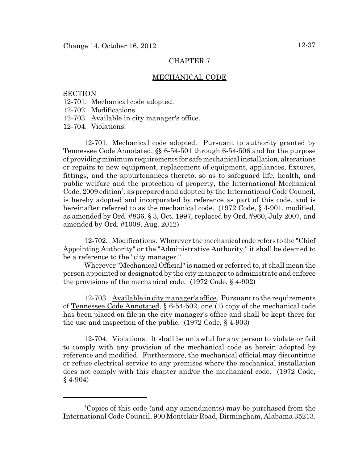## MECHANICAL CODE

## **SECTION**

- 12-701. Mechanical code adopted.
- 12-702. Modifications.
- 12-703. Available in city manager's office.

12-704. Violations.

12-701. Mechanical code adopted. Pursuant to authority granted by Tennessee Code Annotated, §§ 6-54-501 through 6-54-506 and for the purpose of providing minimum requirements for safe mechanical installation, alterations or repairs to new equipment, replacement of equipment, appliances, fixtures, fittings, and the appurtenances thereto, so as to safeguard life, health, and public welfare and the protection of property, the International Mechanical  $\text{Code}, 2009 \text{ edition}^1$ , as prepared and adopted by the International Code Council, is hereby adopted and incorporated by reference as part of this code, and is hereinafter referred to as the mechanical code. (1972 Code, § 4-901, modified, as amended by Ord. #836, § 3, Oct. 1997, replaced by Ord. #960, July 2007, and amended by Ord. #1008, Aug. 2012)

12-702. Modifications. Wherever the mechanical code refers to the "Chief Appointing Authority" or the "Administrative Authority," it shall be deemed to be a reference to the "city manager."

Wherever "Mechanical Official" is named or referred to, it shall mean the person appointed or designated by the city manager to administrate and enforce the provisions of the mechanical code. (1972 Code, § 4-902)

12-703. Available in city manager's office. Pursuant to the requirements of Tennessee Code Annotated, § 6-54-502, one (1) copy of the mechanical code has been placed on file in the city manager's office and shall be kept there for the use and inspection of the public. (1972 Code, § 4-903)

12-704. Violations. It shall be unlawful for any person to violate or fail to comply with any provision of the mechanical code as herein adopted by reference and modified. Furthermore, the mechanical official may discontinue or refuse electrical service to any premises where the mechanical installation does not comply with this chapter and/or the mechanical code. (1972 Code,  $§$  4-904)

<sup>&</sup>lt;sup>1</sup>Copies of this code (and any amendments) may be purchased from the International Code Council, 900 Montclair Road, Birmingham, Alabama 35213.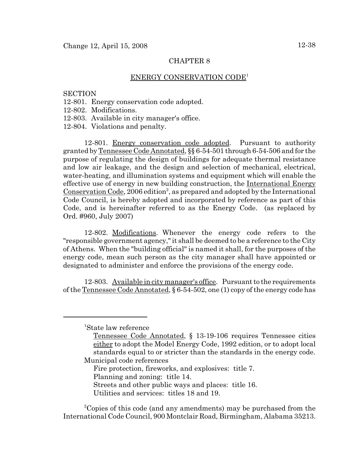## ENERGY CONSERVATION CODE1

### **SECTION**

- 12-801. Energy conservation code adopted.
- 12-802. Modifications.
- 12-803. Available in city manager's office.
- 12-804. Violations and penalty.

12-801. Energy conservation code adopted. Pursuant to authority granted by Tennessee Code Annotated, §§ 6-54-501 through 6-54-506 and for the purpose of regulating the design of buildings for adequate thermal resistance and low air leakage, and the design and selection of mechanical, electrical, water-heating, and illumination systems and equipment which will enable the effective use of energy in new building construction, the International Energy Conservation Code, 2006 edition<sup>2</sup>, as prepared and adopted by the International Code Council, is hereby adopted and incorporated by reference as part of this Code, and is hereinafter referred to as the Energy Code. (as replaced by Ord. #960, July 2007)

12-802. Modifications. Whenever the energy code refers to the "responsible government agency," it shall be deemed to be a reference to the City of Athens. When the "building official" is named it shall, for the purposes of the energy code, mean such person as the city manager shall have appointed or designated to administer and enforce the provisions of the energy code.

12-803. Available in city manager's office. Pursuant to the requirements of the Tennessee Code Annotated, § 6-54-502, one (1) copy of the energy code has

1 State law reference

Fire protection, fireworks, and explosives: title 7.

Planning and zoning: title 14.

Streets and other public ways and places: title 16.

Utilities and services: titles 18 and 19.

<sup>2</sup>Copies of this code (and any amendments) may be purchased from the International Code Council, 900 Montclair Road, Birmingham, Alabama 35213.

Tennessee Code Annotated, § 13-19-106 requires Tennessee cities either to adopt the Model Energy Code, 1992 edition, or to adopt local standards equal to or stricter than the standards in the energy code. Municipal code references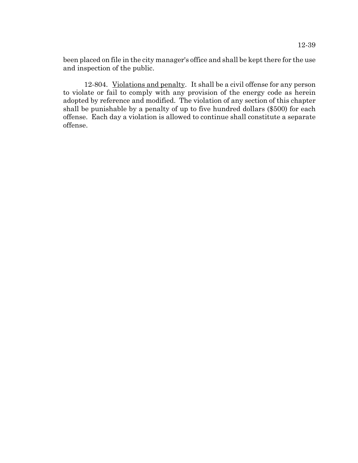been placed on file in the city manager's office and shall be kept there for the use and inspection of the public.

12-804. Violations and penalty. It shall be a civil offense for any person to violate or fail to comply with any provision of the energy code as herein adopted by reference and modified. The violation of any section of this chapter shall be punishable by a penalty of up to five hundred dollars (\$500) for each offense. Each day a violation is allowed to continue shall constitute a separate offense.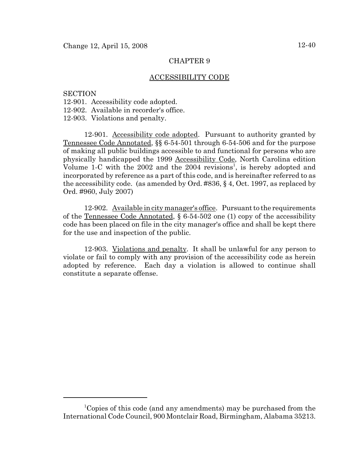## ACCESSIBILITY CODE

### **SECTION**

- 12-901. Accessibility code adopted.
- 12-902. Available in recorder's office.
- 12-903. Violations and penalty.

12-901. Accessibility code adopted. Pursuant to authority granted by Tennessee Code Annotated, §§ 6-54-501 through 6-54-506 and for the purpose of making all public buildings accessible to and functional for persons who are physically handicapped the 1999 Accessibility Code, North Carolina edition Volume 1-C with the 2002 and the  $2004$  revisions<sup>1</sup>, is hereby adopted and incorporated by reference as a part of this code, and is hereinafter referred to as the accessibility code. (as amended by Ord. #836, § 4, Oct. 1997, as replaced by Ord. #960, July 2007)

12-902. Available in city manager's office. Pursuant to the requirements of the Tennessee Code Annotated,  $\S 6-54-502$  one (1) copy of the accessibility code has been placed on file in the city manager's office and shall be kept there for the use and inspection of the public.

12-903. Violations and penalty. It shall be unlawful for any person to violate or fail to comply with any provision of the accessibility code as herein adopted by reference. Each day a violation is allowed to continue shall constitute a separate offense.

<sup>&</sup>lt;sup>1</sup>Copies of this code (and any amendments) may be purchased from the International Code Council, 900 Montclair Road, Birmingham, Alabama 35213.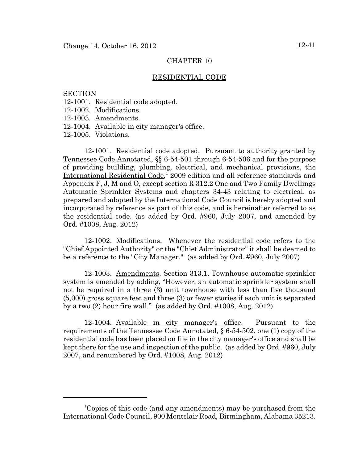## RESIDENTIAL CODE

**SECTION** 

- 12-1001. Residential code adopted.
- 12-1002. Modifications.
- 12-1003. Amendments.
- 12-1004. Available in city manager's office.

12-1005. Violations.

12-1001. Residential code adopted. Pursuant to authority granted by Tennessee Code Annotated, §§ 6-54-501 through 6-54-506 and for the purpose of providing building, plumbing, electrical, and mechanical provisions, the International Residential Code,<sup>1</sup> 2009 edition and all reference standards and Appendix F, J, M and O, except section R 312.2 One and Two Family Dwellings Automatic Sprinkler Systems and chapters 34-43 relating to electrical, as prepared and adopted by the International Code Council is hereby adopted and incorporated by reference as part of this code, and is hereinafter referred to as the residential code. (as added by Ord. #960, July 2007, and amended by Ord. #1008, Aug. 2012)

12-1002. Modifications. Whenever the residential code refers to the "Chief Appointed Authority" or the "Chief Administrator" it shall be deemed to be a reference to the "City Manager." (as added by Ord. #960, July 2007)

12-1003. Amendments. Section 313.1, Townhouse automatic sprinkler system is amended by adding, "However, an automatic sprinkler system shall not be required in a three (3) unit townhouse with less than five thousand (5,000) gross square feet and three (3) or fewer stories if each unit is separated by a two (2) hour fire wall." (as added by Ord. #1008, Aug. 2012)

12-1004. Available in city manager's office. Pursuant to the requirements of the <u>Tennessee Code Annotated</u>,  $\S 6-54-502$ , one (1) copy of the residential code has been placed on file in the city manager's office and shall be kept there for the use and inspection of the public. (as added by Ord. #960, July 2007, and renumbered by Ord. #1008, Aug. 2012)

<sup>&</sup>lt;sup>1</sup>Copies of this code (and any amendments) may be purchased from the International Code Council, 900 Montclair Road, Birmingham, Alabama 35213.